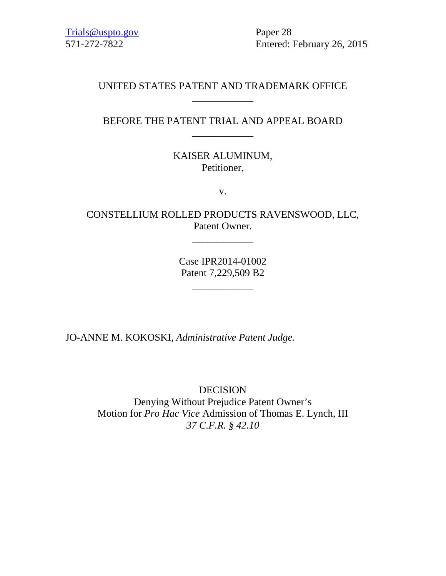Trials@uspto.gov Paper 28

571-272-7822 Entered: February 26, 2015

## UNITED STATES PATENT AND TRADEMARK OFFICE \_\_\_\_\_\_\_\_\_\_\_\_

BEFORE THE PATENT TRIAL AND APPEAL BOARD \_\_\_\_\_\_\_\_\_\_\_\_

> KAISER ALUMINUM, Petitioner,

> > v.

CONSTELLIUM ROLLED PRODUCTS RAVENSWOOD, LLC, Patent Owner.

\_\_\_\_\_\_\_\_\_\_\_\_

Case IPR2014-01002 Patent 7,229,509 B2

\_\_\_\_\_\_\_\_\_\_\_\_

JO-ANNE M. KOKOSKI, *Administrative Patent Judge.*

DECISION Denying Without Prejudice Patent Owner's Motion for *Pro Hac Vice* Admission of Thomas E. Lynch, III *37 C.F.R. § 42.10*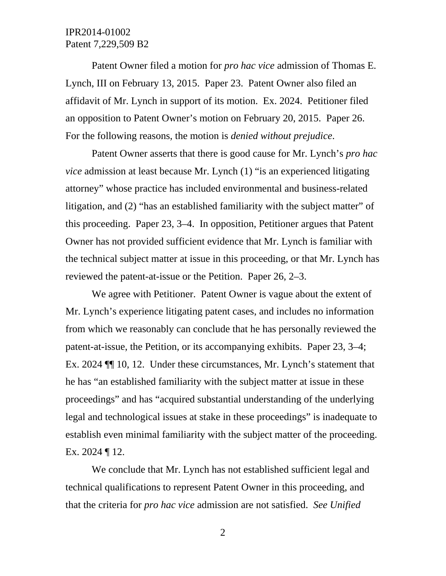## IPR2014-01002 Patent 7,229,509 B2

Patent Owner filed a motion for *pro hac vice* admission of Thomas E. Lynch, III on February 13, 2015. Paper 23. Patent Owner also filed an affidavit of Mr. Lynch in support of its motion. Ex. 2024. Petitioner filed an opposition to Patent Owner's motion on February 20, 2015. Paper 26. For the following reasons, the motion is *denied without prejudice*.

Patent Owner asserts that there is good cause for Mr. Lynch's *pro hac vice* admission at least because Mr. Lynch (1) "is an experienced litigating attorney" whose practice has included environmental and business-related litigation, and (2) "has an established familiarity with the subject matter" of this proceeding. Paper 23, 3–4. In opposition, Petitioner argues that Patent Owner has not provided sufficient evidence that Mr. Lynch is familiar with the technical subject matter at issue in this proceeding, or that Mr. Lynch has reviewed the patent-at-issue or the Petition. Paper 26, 2–3.

We agree with Petitioner. Patent Owner is vague about the extent of Mr. Lynch's experience litigating patent cases, and includes no information from which we reasonably can conclude that he has personally reviewed the patent-at-issue, the Petition, or its accompanying exhibits. Paper 23, 3–4; Ex. 2024 ¶¶ 10, 12. Under these circumstances, Mr. Lynch's statement that he has "an established familiarity with the subject matter at issue in these proceedings" and has "acquired substantial understanding of the underlying legal and technological issues at stake in these proceedings" is inadequate to establish even minimal familiarity with the subject matter of the proceeding. Ex. 2024 ¶ 12.

We conclude that Mr. Lynch has not established sufficient legal and technical qualifications to represent Patent Owner in this proceeding, and that the criteria for *pro hac vice* admission are not satisfied. *See Unified* 

2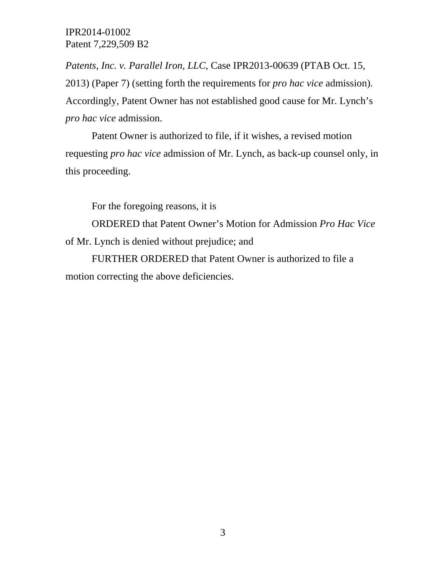IPR2014-01002 Patent 7,229,509 B2

*Patents, Inc. v. Parallel Iron, LLC*, Case IPR2013-00639 (PTAB Oct. 15, 2013) (Paper 7) (setting forth the requirements for *pro hac vice* admission). Accordingly, Patent Owner has not established good cause for Mr. Lynch's *pro hac vice* admission.

Patent Owner is authorized to file, if it wishes, a revised motion requesting *pro hac vice* admission of Mr. Lynch, as back-up counsel only, in this proceeding.

For the foregoing reasons, it is

ORDERED that Patent Owner's Motion for Admission *Pro Hac Vice* of Mr. Lynch is denied without prejudice; and

FURTHER ORDERED that Patent Owner is authorized to file a motion correcting the above deficiencies.